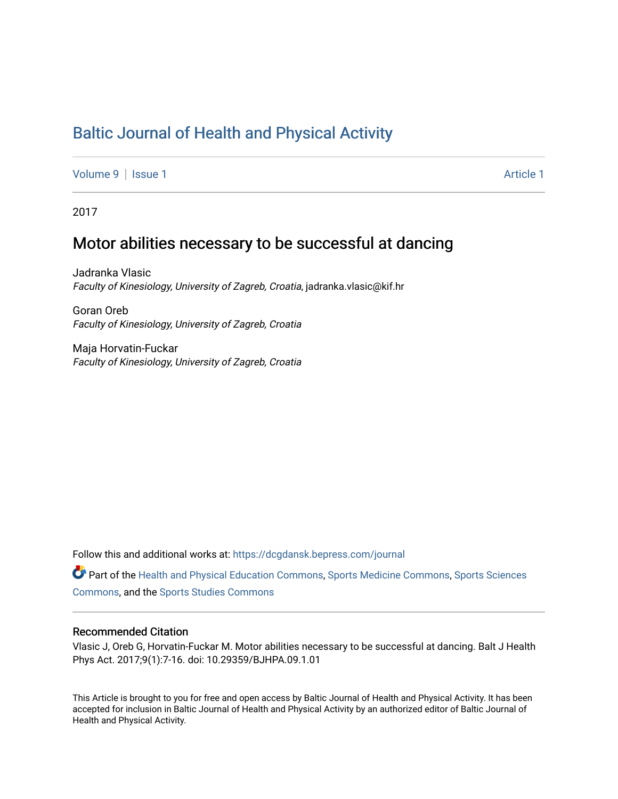# [Baltic Journal of Health and Physical Activity](https://dcgdansk.bepress.com/journal)

[Volume 9](https://dcgdansk.bepress.com/journal/vol9) | [Issue 1](https://dcgdansk.bepress.com/journal/vol9/iss1) Article 1

2017

## Motor abilities necessary to be successful at dancing

Jadranka Vlasic Faculty of Kinesiology, University of Zagreb, Croatia, jadranka.vlasic@kif.hr

Goran Oreb Faculty of Kinesiology, University of Zagreb, Croatia

Maja Horvatin-Fuckar Faculty of Kinesiology, University of Zagreb, Croatia

Follow this and additional works at: [https://dcgdansk.bepress.com/journal](https://dcgdansk.bepress.com/journal?utm_source=dcgdansk.bepress.com%2Fjournal%2Fvol9%2Fiss1%2F1&utm_medium=PDF&utm_campaign=PDFCoverPages)

Part of the [Health and Physical Education Commons](http://network.bepress.com/hgg/discipline/1327?utm_source=dcgdansk.bepress.com%2Fjournal%2Fvol9%2Fiss1%2F1&utm_medium=PDF&utm_campaign=PDFCoverPages), [Sports Medicine Commons,](http://network.bepress.com/hgg/discipline/1331?utm_source=dcgdansk.bepress.com%2Fjournal%2Fvol9%2Fiss1%2F1&utm_medium=PDF&utm_campaign=PDFCoverPages) [Sports Sciences](http://network.bepress.com/hgg/discipline/759?utm_source=dcgdansk.bepress.com%2Fjournal%2Fvol9%2Fiss1%2F1&utm_medium=PDF&utm_campaign=PDFCoverPages) [Commons](http://network.bepress.com/hgg/discipline/759?utm_source=dcgdansk.bepress.com%2Fjournal%2Fvol9%2Fiss1%2F1&utm_medium=PDF&utm_campaign=PDFCoverPages), and the [Sports Studies Commons](http://network.bepress.com/hgg/discipline/1198?utm_source=dcgdansk.bepress.com%2Fjournal%2Fvol9%2Fiss1%2F1&utm_medium=PDF&utm_campaign=PDFCoverPages) 

#### Recommended Citation

Vlasic J, Oreb G, Horvatin-Fuckar M. Motor abilities necessary to be successful at dancing. Balt J Health Phys Act. 2017;9(1):7-16. doi: 10.29359/BJHPA.09.1.01

This Article is brought to you for free and open access by Baltic Journal of Health and Physical Activity. It has been accepted for inclusion in Baltic Journal of Health and Physical Activity by an authorized editor of Baltic Journal of Health and Physical Activity.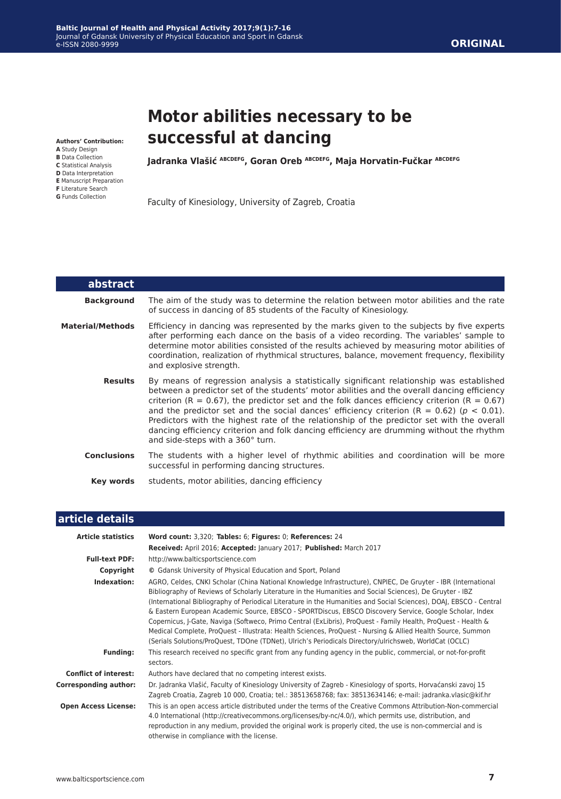# **Motor abilities necessary to be successful at dancing**

**Authors' Contribution:**

- **A** Study Design
- **B** Data Collection
- **C** Statistical Analysis
- **D** Data Interpretation **E** Manuscript Preparation
- **F** Literature Search
- **G** Funds Collection

**Jadranka Vlašić ABCDEFG, Goran Oreb ABCDEFG, Maja Horvatin-Fučkar ABCDEFG**

Faculty of Kinesiology, University of Zagreb, Croatia

| abstract                |                                                                                                                                                                                                                                                                                                                                                                                                                                                                                                                                                                                                                           |
|-------------------------|---------------------------------------------------------------------------------------------------------------------------------------------------------------------------------------------------------------------------------------------------------------------------------------------------------------------------------------------------------------------------------------------------------------------------------------------------------------------------------------------------------------------------------------------------------------------------------------------------------------------------|
| <b>Background</b>       | The aim of the study was to determine the relation between motor abilities and the rate<br>of success in dancing of 85 students of the Faculty of Kinesiology.                                                                                                                                                                                                                                                                                                                                                                                                                                                            |
| <b>Material/Methods</b> | Efficiency in dancing was represented by the marks given to the subjects by five experts<br>after performing each dance on the basis of a video recording. The variables' sample to<br>determine motor abilities consisted of the results achieved by measuring motor abilities of<br>coordination, realization of rhythmical structures, balance, movement frequency, flexibility<br>and explosive strength.                                                                                                                                                                                                             |
| <b>Results</b>          | By means of regression analysis a statistically significant relationship was established<br>between a predictor set of the students' motor abilities and the overall dancing efficiency<br>criterion (R = 0.67), the predictor set and the folk dances efficiency criterion (R = $0.67$ )<br>and the predictor set and the social dances' efficiency criterion $(R = 0.62)$ ( $p < 0.01$ ).<br>Predictors with the highest rate of the relationship of the predictor set with the overall<br>dancing efficiency criterion and folk dancing efficiency are drumming without the rhythm<br>and side-steps with a 360° turn. |
| <b>Conclusions</b>      | The students with a higher level of rhythmic abilities and coordination will be more<br>successful in performing dancing structures.                                                                                                                                                                                                                                                                                                                                                                                                                                                                                      |
| Key words               | students, motor abilities, dancing efficiency                                                                                                                                                                                                                                                                                                                                                                                                                                                                                                                                                                             |

## **article details**

| <b>Article statistics</b>    | Word count: 3,320; Tables: 6; Figures: 0; References: 24                                                                                                                                                                                                                                                                                                                                                                                                                                                                                                                                                                                                                                                                                                                                             |
|------------------------------|------------------------------------------------------------------------------------------------------------------------------------------------------------------------------------------------------------------------------------------------------------------------------------------------------------------------------------------------------------------------------------------------------------------------------------------------------------------------------------------------------------------------------------------------------------------------------------------------------------------------------------------------------------------------------------------------------------------------------------------------------------------------------------------------------|
|                              | Received: April 2016; Accepted: January 2017; Published: March 2017                                                                                                                                                                                                                                                                                                                                                                                                                                                                                                                                                                                                                                                                                                                                  |
| <b>Full-text PDF:</b>        | http://www.balticsportscience.com                                                                                                                                                                                                                                                                                                                                                                                                                                                                                                                                                                                                                                                                                                                                                                    |
| Copyright                    | © Gdansk University of Physical Education and Sport, Poland                                                                                                                                                                                                                                                                                                                                                                                                                                                                                                                                                                                                                                                                                                                                          |
| Indexation:                  | AGRO, Celdes, CNKI Scholar (China National Knowledge Infrastructure), CNPIEC, De Gruyter - IBR (International<br>Bibliography of Reviews of Scholarly Literature in the Humanities and Social Sciences), De Gruyter - IBZ<br>(International Bibliography of Periodical Literature in the Humanities and Social Sciences), DOAJ, EBSCO - Central<br>& Eastern European Academic Source, EBSCO - SPORTDiscus, EBSCO Discovery Service, Google Scholar, Index<br>Copernicus, J-Gate, Naviga (Softweco, Primo Central (ExLibris), ProQuest - Family Health, ProQuest - Health &<br>Medical Complete, ProQuest - Illustrata: Health Sciences, ProQuest - Nursing & Allied Health Source, Summon<br>(Serials Solutions/ProQuest, TDOne (TDNet), Ulrich's Periodicals Directory/ulrichsweb, WorldCat (OCLC) |
| <b>Funding:</b>              | This research received no specific grant from any funding agency in the public, commercial, or not-for-profit<br>sectors.                                                                                                                                                                                                                                                                                                                                                                                                                                                                                                                                                                                                                                                                            |
| <b>Conflict of interest:</b> | Authors have declared that no competing interest exists.                                                                                                                                                                                                                                                                                                                                                                                                                                                                                                                                                                                                                                                                                                                                             |
| <b>Corresponding author:</b> | Dr. Jadranka Vlašić, Faculty of Kinesiology University of Zagreb - Kinesiology of sports, Horvaćanski zavoj 15<br>Zagreb Croatia, Zagreb 10 000, Croatia; tel.: 38513658768; fax: 38513634146; e-mail: jadranka.vlasic@kif.hr                                                                                                                                                                                                                                                                                                                                                                                                                                                                                                                                                                        |
| <b>Open Access License:</b>  | This is an open access article distributed under the terms of the Creative Commons Attribution-Non-commercial<br>4.0 International (http://creativecommons.org/licenses/by-nc/4.0/), which permits use, distribution, and<br>reproduction in any medium, provided the original work is properly cited, the use is non-commercial and is<br>otherwise in compliance with the license.                                                                                                                                                                                                                                                                                                                                                                                                                 |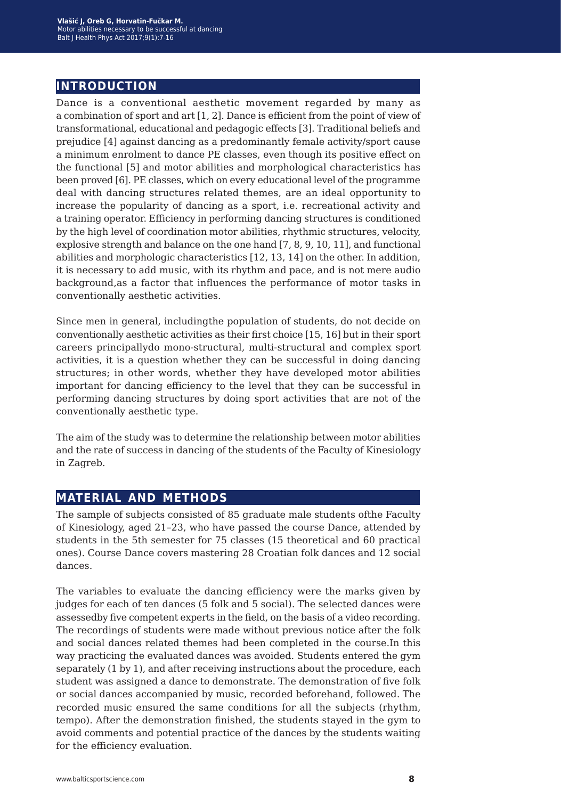## **introduction**

Dance is a conventional aesthetic movement regarded by many as a combination of sport and art [1, 2]. Dance is efficient from the point of view of transformational, educational and pedagogic effects [3]. Traditional beliefs and prejudice [4] against dancing as a predominantly female activity/sport cause a minimum enrolment to dance PE classes, even though its positive effect on the functional [5] and motor abilities and morphological characteristics has been proved [6]. PE classes, which on every educational level of the programme deal with dancing structures related themes, are an ideal opportunity to increase the popularity of dancing as a sport, i.e. recreational activity and a training operator. Efficiency in performing dancing structures is conditioned by the high level of coordination motor abilities, rhythmic structures, velocity, explosive strength and balance on the one hand [7, 8, 9, 10, 11], and functional abilities and morphologic characteristics [12, 13, 14] on the other. In addition, it is necessary to add music, with its rhythm and pace, and is not mere audio background,as a factor that influences the performance of motor tasks in conventionally aesthetic activities.

Since men in general, includingthe population of students, do not decide on conventionally aesthetic activities as their first choice [15, 16] but in their sport careers principallydo mono-structural, multi-structural and complex sport activities, it is a question whether they can be successful in doing dancing structures; in other words, whether they have developed motor abilities important for dancing efficiency to the level that they can be successful in performing dancing structures by doing sport activities that are not of the conventionally aesthetic type.

The aim of the study was to determine the relationship between motor abilities and the rate of success in dancing of the students of the Faculty of Kinesiology in Zagreb.

#### **material and methods**

The sample of subjects consisted of 85 graduate male students ofthe Faculty of Kinesiology, aged 21–23, who have passed the course Dance, attended by students in the 5th semester for 75 classes (15 theoretical and 60 practical ones). Course Dance covers mastering 28 Croatian folk dances and 12 social dances.

The variables to evaluate the dancing efficiency were the marks given by judges for each of ten dances (5 folk and 5 social). The selected dances were assessedby five competent experts in the field, on the basis of a video recording. The recordings of students were made without previous notice after the folk and social dances related themes had been completed in the course.In this way practicing the evaluated dances was avoided. Students entered the gym separately (1 by 1), and after receiving instructions about the procedure, each student was assigned a dance to demonstrate. The demonstration of five folk or social dances accompanied by music, recorded beforehand, followed. The recorded music ensured the same conditions for all the subjects (rhythm, tempo). After the demonstration finished, the students stayed in the gym to avoid comments and potential practice of the dances by the students waiting for the efficiency evaluation.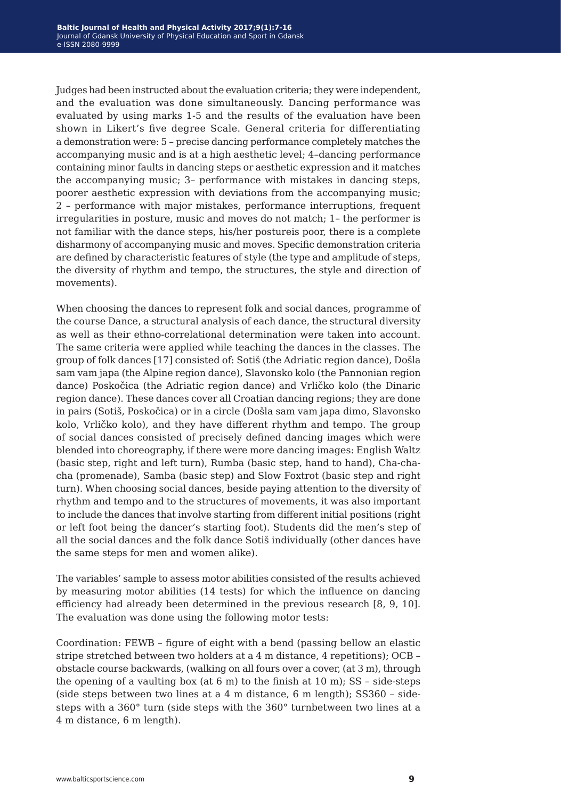Judges had been instructed about the evaluation criteria; they were independent, and the evaluation was done simultaneously. Dancing performance was evaluated by using marks 1-5 and the results of the evaluation have been shown in Likert's five degree Scale. General criteria for differentiating a demonstration were: 5 – precise dancing performance completely matches the accompanying music and is at a high aesthetic level; 4–dancing performance containing minor faults in dancing steps or aesthetic expression and it matches the accompanying music; 3– performance with mistakes in dancing steps, poorer aesthetic expression with deviations from the accompanying music; 2 – performance with major mistakes, performance interruptions, frequent irregularities in posture, music and moves do not match; 1– the performer is not familiar with the dance steps, his/her postureis poor, there is a complete disharmony of accompanying music and moves. Specific demonstration criteria are defined by characteristic features of style (the type and amplitude of steps, the diversity of rhythm and tempo, the structures, the style and direction of movements).

When choosing the dances to represent folk and social dances, programme of the course Dance, a structural analysis of each dance, the structural diversity as well as their ethno-correlational determination were taken into account. The same criteria were applied while teaching the dances in the classes. The group of folk dances [17] consisted of: Sotiš (the Adriatic region dance), Došla sam vam japa (the Alpine region dance), Slavonsko kolo (the Pannonian region dance) Poskočica (the Adriatic region dance) and Vrličko kolo (the Dinaric region dance). These dances cover all Croatian dancing regions; they are done in pairs (Sotiš, Poskočica) or in a circle (Došla sam vam japa dimo, Slavonsko kolo, Vrličko kolo), and they have different rhythm and tempo. The group of social dances consisted of precisely defined dancing images which were blended into choreography, if there were more dancing images: English Waltz (basic step, right and left turn), Rumba (basic step, hand to hand), Cha-chacha (promenade), Samba (basic step) and Slow Foxtrot (basic step and right turn). When choosing social dances, beside paying attention to the diversity of rhythm and tempo and to the structures of movements, it was also important to include the dances that involve starting from different initial positions (right or left foot being the dancer's starting foot). Students did the men's step of all the social dances and the folk dance Sotiš individually (other dances have the same steps for men and women alike).

The variables' sample to assess motor abilities consisted of the results achieved by measuring motor abilities (14 tests) for which the influence on dancing efficiency had already been determined in the previous research [8, 9, 10]. The evaluation was done using the following motor tests:

Coordination: FEWB – figure of eight with a bend (passing bellow an elastic stripe stretched between two holders at a 4 m distance, 4 repetitions); OCB – obstacle course backwards, (walking on all fours over a cover, (at 3 m), through the opening of a vaulting box (at  $6 \text{ m}$ ) to the finish at  $10 \text{ m}$ ); SS - side-steps (side steps between two lines at a 4 m distance, 6 m length); SS360 – sidesteps with a 360° turn (side steps with the 360° turnbetween two lines at a 4 m distance, 6 m length).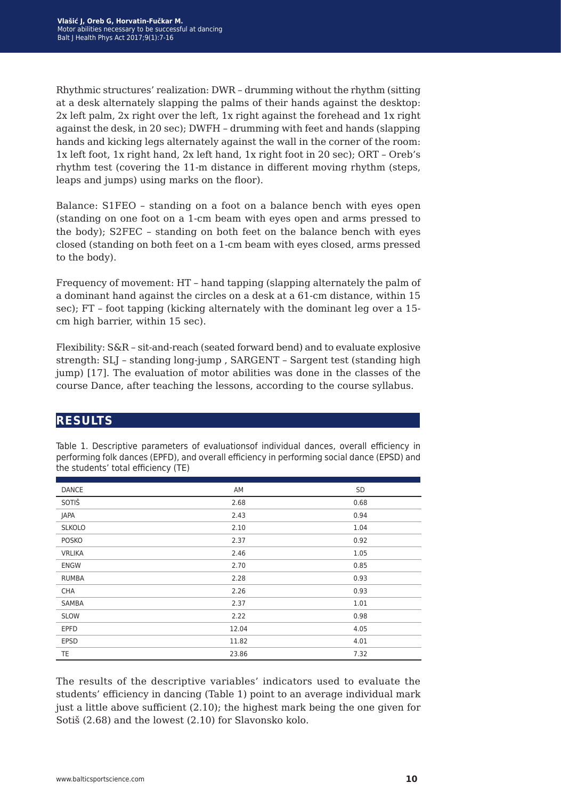Rhythmic structures' realization: DWR – drumming without the rhythm (sitting at a desk alternately slapping the palms of their hands against the desktop: 2x left palm, 2x right over the left, 1x right against the forehead and 1x right against the desk, in 20 sec); DWFH – drumming with feet and hands (slapping hands and kicking legs alternately against the wall in the corner of the room: 1x left foot, 1x right hand, 2x left hand, 1x right foot in 20 sec); ORT – Oreb's rhythm test (covering the 11-m distance in different moving rhythm (steps, leaps and jumps) using marks on the floor).

Balance: S1FEO – standing on a foot on a balance bench with eyes open (standing on one foot on a 1-cm beam with eyes open and arms pressed to the body); S2FEC – standing on both feet on the balance bench with eyes closed (standing on both feet on a 1-cm beam with eyes closed, arms pressed to the body).

Frequency of movement: HT – hand tapping (slapping alternately the palm of a dominant hand against the circles on a desk at a 61-cm distance, within 15 sec); FT – foot tapping (kicking alternately with the dominant leg over a 15 cm high barrier, within 15 sec).

Flexibility: S&R – sit-and-reach (seated forward bend) and to evaluate explosive strength: SLJ – standing long-jump , SARGENT – Sargent test (standing high jump) [17]. The evaluation of motor abilities was done in the classes of the course Dance, after teaching the lessons, according to the course syllabus.

#### **results**

| <b>DANCE</b>  | AM    | SD   |
|---------------|-------|------|
| SOTIŠ         | 2.68  | 0.68 |
| JAPA          | 2.43  | 0.94 |
| <b>SLKOLO</b> | 2.10  | 1.04 |
| <b>POSKO</b>  | 2.37  | 0.92 |
| <b>VRLIKA</b> | 2.46  | 1.05 |
| <b>ENGW</b>   | 2.70  | 0.85 |
| <b>RUMBA</b>  | 2.28  | 0.93 |
| <b>CHA</b>    | 2.26  | 0.93 |
| SAMBA         | 2.37  | 1.01 |
| <b>SLOW</b>   | 2.22  | 0.98 |
| <b>EPFD</b>   | 12.04 | 4.05 |
| <b>EPSD</b>   | 11.82 | 4.01 |
| <b>TE</b>     | 23.86 | 7.32 |

Table 1. Descriptive parameters of evaluationsof individual dances, overall efficiency in performing folk dances (EPFD), and overall efficiency in performing social dance (EPSD) and the students' total efficiency (TE)

The results of the descriptive variables' indicators used to evaluate the students' efficiency in dancing (Table 1) point to an average individual mark just a little above sufficient (2.10); the highest mark being the one given for Sotiš (2.68) and the lowest (2.10) for Slavonsko kolo.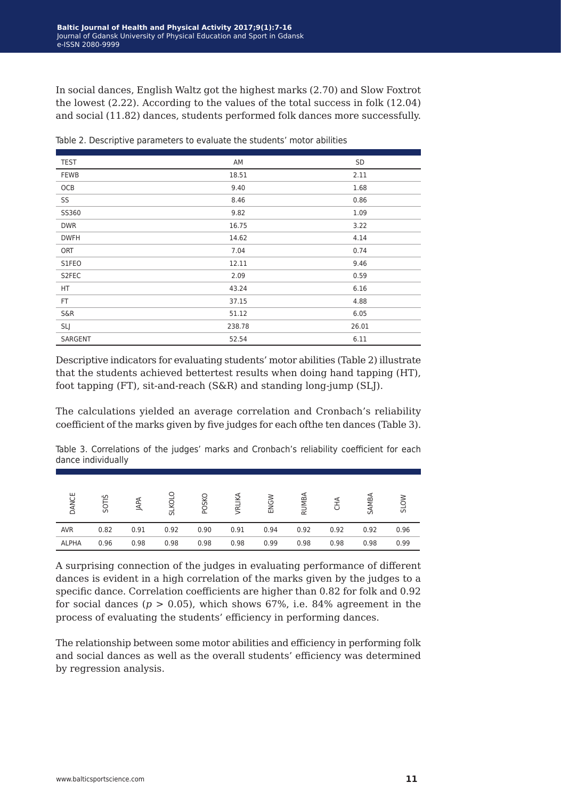In social dances, English Waltz got the highest marks (2.70) and Slow Foxtrot the lowest (2.22). According to the values of the total success in folk (12.04) and social (11.82) dances, students performed folk dances more successfully.

| <b>TEST</b>    | AM     | SD    |
|----------------|--------|-------|
| <b>FEWB</b>    | 18.51  | 2.11  |
| OCB            | 9.40   | 1.68  |
| SS             | 8.46   | 0.86  |
| SS360          | 9.82   | 1.09  |
| <b>DWR</b>     | 16.75  | 3.22  |
| <b>DWFH</b>    | 14.62  | 4.14  |
| ORT            | 7.04   | 0.74  |
| S1FEO          | 12.11  | 9.46  |
| S2FEC          | 2.09   | 0.59  |
| HT             | 43.24  | 6.16  |
| FT.            | 37.15  | 4.88  |
| <b>S&amp;R</b> | 51.12  | 6.05  |
| SLJ            | 238.78 | 26.01 |
| SARGENT        | 52.54  | 6.11  |

Table 2. Descriptive parameters to evaluate the students' motor abilities

Descriptive indicators for evaluating students' motor abilities (Table 2) illustrate that the students achieved bettertest results when doing hand tapping (HT), foot tapping (FT), sit-and-reach (S&R) and standing long-jump (SLJ).

The calculations yielded an average correlation and Cronbach's reliability coefficient of the marks given by five judges for each ofthe ten dances (Table 3).

Table 3. Correlations of the judges' marks and Cronbach's reliability coefficient for each dance individually

| DANCE      | ূ∽<br>5OT |      | SLKOL | <b>POSKO</b> | VRLIK | ENGW | RUMB/ |      | <b>SAMBA</b> | NO <sub>1S</sub> |
|------------|-----------|------|-------|--------------|-------|------|-------|------|--------------|------------------|
| <b>AVR</b> | 0.82      | 0.91 | 0.92  | 0.90         | 0.91  | 0.94 | 0.92  | 0.92 | 0.92         | 0.96             |
| ALPHA      | 0.96      | 0.98 | 0.98  | 0.98         | 0.98  | 0.99 | 0.98  | 0.98 | 0.98         | 0.99             |

A surprising connection of the judges in evaluating performance of different dances is evident in a high correlation of the marks given by the judges to a specific dance. Correlation coefficients are higher than 0.82 for folk and 0.92 for social dances ( $p > 0.05$ ), which shows 67%, i.e. 84% agreement in the process of evaluating the students' efficiency in performing dances.

The relationship between some motor abilities and efficiency in performing folk and social dances as well as the overall students' efficiency was determined by regression analysis.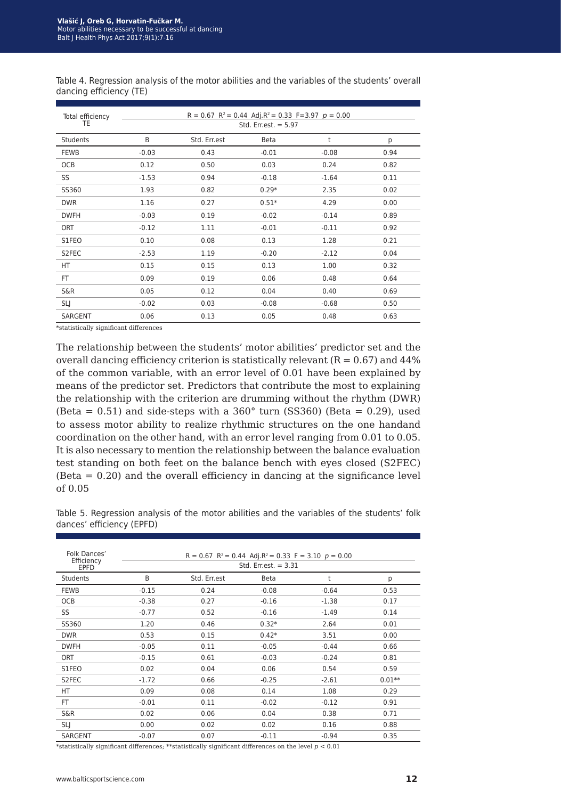|                         |  |  | Table 4. Regression analysis of the motor abilities and the variables of the students' overall |  |
|-------------------------|--|--|------------------------------------------------------------------------------------------------|--|
| dancing efficiency (TE) |  |  |                                                                                                |  |

| Total efficiency<br>TE               | R = 0.67 R <sup>2</sup> = 0.44 Adj.R <sup>2</sup> = 0.33 F=3.97 $p = 0.00$<br>Std. Err.est. $= 5.97$ |              |         |         |      |  |
|--------------------------------------|------------------------------------------------------------------------------------------------------|--------------|---------|---------|------|--|
| <b>Students</b>                      | B                                                                                                    | Std. Err.est | Beta    | t       | р    |  |
| <b>FEWB</b>                          | $-0.03$                                                                                              | 0.43         | $-0.01$ | $-0.08$ | 0.94 |  |
| OCB                                  | 0.12                                                                                                 | 0.50         | 0.03    | 0.24    | 0.82 |  |
| SS                                   | $-1.53$                                                                                              | 0.94         | $-0.18$ | $-1.64$ | 0.11 |  |
| SS360                                | 1.93                                                                                                 | 0.82         | $0.29*$ | 2.35    | 0.02 |  |
| <b>DWR</b>                           | 1.16                                                                                                 | 0.27         | $0.51*$ | 4.29    | 0.00 |  |
| <b>DWFH</b>                          | $-0.03$                                                                                              | 0.19         | $-0.02$ | $-0.14$ | 0.89 |  |
| <b>ORT</b>                           | $-0.12$                                                                                              | 1.11         | $-0.01$ | $-0.11$ | 0.92 |  |
| S1FEO                                | 0.10                                                                                                 | 0.08         | 0.13    | 1.28    | 0.21 |  |
| S2FEC                                | $-2.53$                                                                                              | 1.19         | $-0.20$ | $-2.12$ | 0.04 |  |
| HT                                   | 0.15                                                                                                 | 0.15         | 0.13    | 1.00    | 0.32 |  |
| FT.                                  | 0.09                                                                                                 | 0.19         | 0.06    | 0.48    | 0.64 |  |
| S&R                                  | 0.05                                                                                                 | 0.12         | 0.04    | 0.40    | 0.69 |  |
| <b>SLJ</b>                           | $-0.02$                                                                                              | 0.03         | $-0.08$ | $-0.68$ | 0.50 |  |
| <b>SARGENT</b><br>.<br>$\sim$ $\sim$ | 0.06<br>$\sim$ 3.000                                                                                 | 0.13         | 0.05    | 0.48    | 0.63 |  |

\*statistically significant differences

The relationship between the students' motor abilities' predictor set and the overall dancing efficiency criterion is statistically relevant  $(R = 0.67)$  and  $44\%$ of the common variable, with an error level of 0.01 have been explained by means of the predictor set. Predictors that contribute the most to explaining the relationship with the criterion are drumming without the rhythm (DWR) (Beta =  $0.51$ ) and side-steps with a  $360^{\circ}$  turn (SS360) (Beta = 0.29), used to assess motor ability to realize rhythmic structures on the one handand coordination on the other hand, with an error level ranging from 0.01 to 0.05. It is also necessary to mention the relationship between the balance evaluation test standing on both feet on the balance bench with eyes closed (S2FEC) (Beta = 0.20) and the overall efficiency in dancing at the significance level of 0.05

Table 5. Regression analysis of the motor abilities and the variables of the students' folk dances' efficiency (EPFD)

| Folk Dances'<br>Efficiency |                        | $R = 0.67$ $R^2 = 0.44$ Adj. $R^2 = 0.33$ $F = 3.10$ $p = 0.00$ |             |         |          |  |  |  |
|----------------------------|------------------------|-----------------------------------------------------------------|-------------|---------|----------|--|--|--|
| EPFD                       | Std. Err.est. $= 3.31$ |                                                                 |             |         |          |  |  |  |
| <b>Students</b>            | B                      | Std. Err.est                                                    | <b>Beta</b> | t       | р        |  |  |  |
| <b>FEWB</b>                | $-0.15$                | 0.24                                                            | $-0.08$     | $-0.64$ | 0.53     |  |  |  |
| <b>OCB</b>                 | $-0.38$                | 0.27                                                            | $-0.16$     | $-1.38$ | 0.17     |  |  |  |
| SS                         | $-0.77$                | 0.52                                                            | $-0.16$     | $-1.49$ | 0.14     |  |  |  |
| SS360                      | 1.20                   | 0.46                                                            | $0.32*$     | 2.64    | 0.01     |  |  |  |
| <b>DWR</b>                 | 0.53                   | 0.15                                                            | $0.42*$     | 3.51    | 0.00     |  |  |  |
| <b>DWFH</b>                | $-0.05$                | 0.11                                                            | $-0.05$     | $-0.44$ | 0.66     |  |  |  |
| <b>ORT</b>                 | $-0.15$                | 0.61                                                            | $-0.03$     | $-0.24$ | 0.81     |  |  |  |
| S1FEO                      | 0.02                   | 0.04                                                            | 0.06        | 0.54    | 0.59     |  |  |  |
| S2FEC                      | $-1.72$                | 0.66                                                            | $-0.25$     | $-2.61$ | $0.01**$ |  |  |  |
| <b>HT</b>                  | 0.09                   | 0.08                                                            | 0.14        | 1.08    | 0.29     |  |  |  |
| FT.                        | $-0.01$                | 0.11                                                            | $-0.02$     | $-0.12$ | 0.91     |  |  |  |
| S&R                        | 0.02                   | 0.06                                                            | 0.04        | 0.38    | 0.71     |  |  |  |
| <b>SLJ</b>                 | 0.00                   | 0.02                                                            | 0.02        | 0.16    | 0.88     |  |  |  |
| <b>SARGENT</b>             | $-0.07$                | 0.07                                                            | $-0.11$     | $-0.94$ | 0.35     |  |  |  |

 $\ast$ statistically significant differences;  $\ast$  statistically significant differences on the level  $p < 0.01$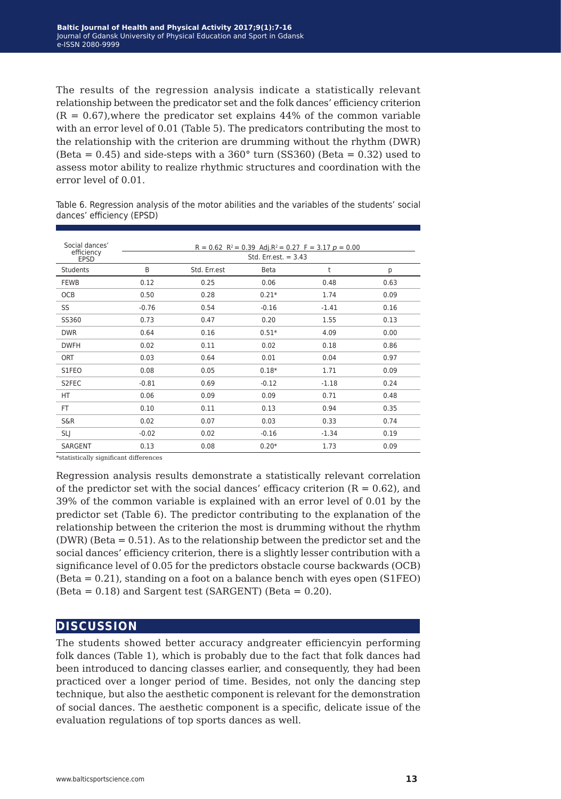The results of the regression analysis indicate a statistically relevant relationship between the predicator set and the folk dances' efficiency criterion  $(R = 0.67)$ , where the predicator set explains 44% of the common variable with an error level of 0.01 (Table 5). The predicators contributing the most to the relationship with the criterion are drumming without the rhythm (DWR)  $(Beta = 0.45)$  and side-steps with a 360 $^{\circ}$  turn (SS360) (Beta = 0.32) used to assess motor ability to realize rhythmic structures and coordination with the error level of 0.01.

Table 6. Regression analysis of the motor abilities and the variables of the students' social dances' efficiency (EPSD)

| Social dances'<br>efficiency<br><b>EPSD</b> | $R = 0.62$ $R^2 = 0.39$ Adj. $R^2 = 0.27$ $F = 3.17$ $p = 0.00$<br>Std. Err.est. $= 3.43$ |              |         |         |      |  |  |
|---------------------------------------------|-------------------------------------------------------------------------------------------|--------------|---------|---------|------|--|--|
| <b>Students</b>                             | B                                                                                         | Std. Err.est | Beta    | t       | р    |  |  |
| FEWB                                        | 0.12                                                                                      | 0.25         | 0.06    | 0.48    | 0.63 |  |  |
| <b>OCB</b>                                  | 0.50                                                                                      | 0.28         | $0.21*$ | 1.74    | 0.09 |  |  |
| SS                                          | $-0.76$                                                                                   | 0.54         | $-0.16$ | $-1.41$ | 0.16 |  |  |
| SS360                                       | 0.73                                                                                      | 0.47         | 0.20    | 1.55    | 0.13 |  |  |
| <b>DWR</b>                                  | 0.64                                                                                      | 0.16         | $0.51*$ | 4.09    | 0.00 |  |  |
| <b>DWFH</b>                                 | 0.02                                                                                      | 0.11         | 0.02    | 0.18    | 0.86 |  |  |
| <b>ORT</b>                                  | 0.03                                                                                      | 0.64         | 0.01    | 0.04    | 0.97 |  |  |
| S1FEO                                       | 0.08                                                                                      | 0.05         | $0.18*$ | 1.71    | 0.09 |  |  |
| S2FEC                                       | $-0.81$                                                                                   | 0.69         | $-0.12$ | $-1.18$ | 0.24 |  |  |
| HT.                                         | 0.06                                                                                      | 0.09         | 0.09    | 0.71    | 0.48 |  |  |
| FT                                          | 0.10                                                                                      | 0.11         | 0.13    | 0.94    | 0.35 |  |  |
| S&R                                         | 0.02                                                                                      | 0.07         | 0.03    | 0.33    | 0.74 |  |  |
| <b>SLJ</b>                                  | $-0.02$                                                                                   | 0.02         | $-0.16$ | $-1.34$ | 0.19 |  |  |
| SARGENT                                     | 0.13                                                                                      | 0.08         | $0.20*$ | 1.73    | 0.09 |  |  |

\*statistically significant differences

Regression analysis results demonstrate a statistically relevant correlation of the predictor set with the social dances' efficacy criterion  $(R = 0.62)$ , and 39% of the common variable is explained with an error level of 0.01 by the predictor set (Table 6). The predictor contributing to the explanation of the relationship between the criterion the most is drumming without the rhythm (DWR) (Beta = 0.51). As to the relationship between the predictor set and the social dances' efficiency criterion, there is a slightly lesser contribution with a significance level of 0.05 for the predictors obstacle course backwards (OCB) (Beta = 0.21), standing on a foot on a balance bench with eyes open (S1FEO)  $(Beta = 0.18)$  and Sargent test (SARGENT) (Beta = 0.20).

#### **discussion**

The students showed better accuracy andgreater efficiencyin performing folk dances (Table 1), which is probably due to the fact that folk dances had been introduced to dancing classes earlier, and consequently, they had been practiced over a longer period of time. Besides, not only the dancing step technique, but also the aesthetic component is relevant for the demonstration of social dances. The aesthetic component is a specific, delicate issue of the evaluation regulations of top sports dances as well.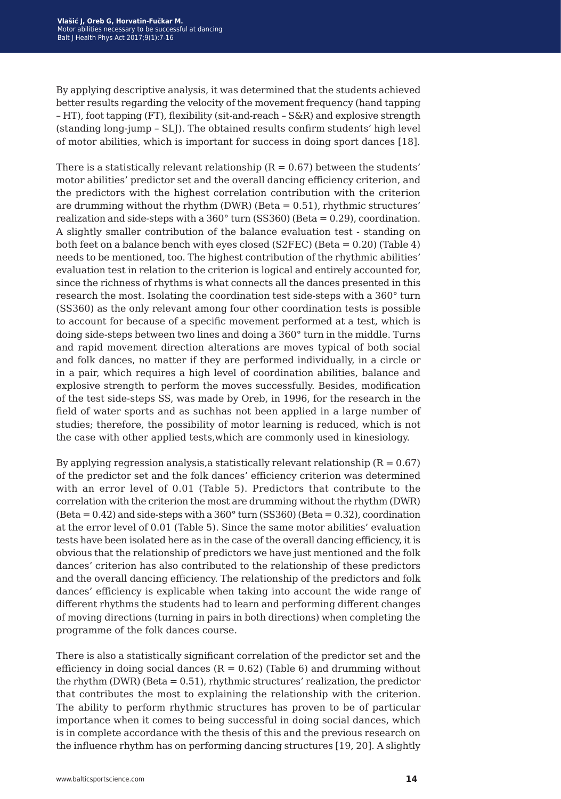By applying descriptive analysis, it was determined that the students achieved better results regarding the velocity of the movement frequency (hand tapping – HT), foot tapping (FT), flexibility (sit-and-reach – S&R) and explosive strength (standing long-jump – SLJ). The obtained results confirm students' high level of motor abilities, which is important for success in doing sport dances [18].

There is a statistically relevant relationship  $(R = 0.67)$  between the students' motor abilities' predictor set and the overall dancing efficiency criterion, and the predictors with the highest correlation contribution with the criterion are drumming without the rhythm  $(DWR)$  (Beta = 0.51), rhythmic structures' realization and side-steps with a  $360^{\circ}$  turn (SS360) (Beta = 0.29), coordination. A slightly smaller contribution of the balance evaluation test - standing on both feet on a balance bench with eyes closed (S2FEC) (Beta = 0.20) (Table 4) needs to be mentioned, too. The highest contribution of the rhythmic abilities' evaluation test in relation to the criterion is logical and entirely accounted for, since the richness of rhythms is what connects all the dances presented in this research the most. Isolating the coordination test side-steps with a 360° turn (SS360) as the only relevant among four other coordination tests is possible to account for because of a specific movement performed at a test, which is doing side-steps between two lines and doing a 360° turn in the middle. Turns and rapid movement direction alterations are moves typical of both social and folk dances, no matter if they are performed individually, in a circle or in a pair, which requires a high level of coordination abilities, balance and explosive strength to perform the moves successfully. Besides, modification of the test side-steps SS, was made by Oreb, in 1996, for the research in the field of water sports and as suchhas not been applied in a large number of studies; therefore, the possibility of motor learning is reduced, which is not the case with other applied tests,which are commonly used in kinesiology.

By applying regression analysis, a statistically relevant relationship  $(R = 0.67)$ of the predictor set and the folk dances' efficiency criterion was determined with an error level of 0.01 (Table 5). Predictors that contribute to the correlation with the criterion the most are drumming without the rhythm (DWR) (Beta = 0.42) and side-steps with a 360° turn (SS360) (Beta = 0.32), coordination at the error level of 0.01 (Table 5). Since the same motor abilities' evaluation tests have been isolated here as in the case of the overall dancing efficiency, it is obvious that the relationship of predictors we have just mentioned and the folk dances' criterion has also contributed to the relationship of these predictors and the overall dancing efficiency. The relationship of the predictors and folk dances' efficiency is explicable when taking into account the wide range of different rhythms the students had to learn and performing different changes of moving directions (turning in pairs in both directions) when completing the programme of the folk dances course.

There is also a statistically significant correlation of the predictor set and the efficiency in doing social dances  $(R = 0.62)$  (Table 6) and drumming without the rhythm (DWR) (Beta  $= 0.51$ ), rhythmic structures' realization, the predictor that contributes the most to explaining the relationship with the criterion. The ability to perform rhythmic structures has proven to be of particular importance when it comes to being successful in doing social dances, which is in complete accordance with the thesis of this and the previous research on the influence rhythm has on performing dancing structures [19, 20]. A slightly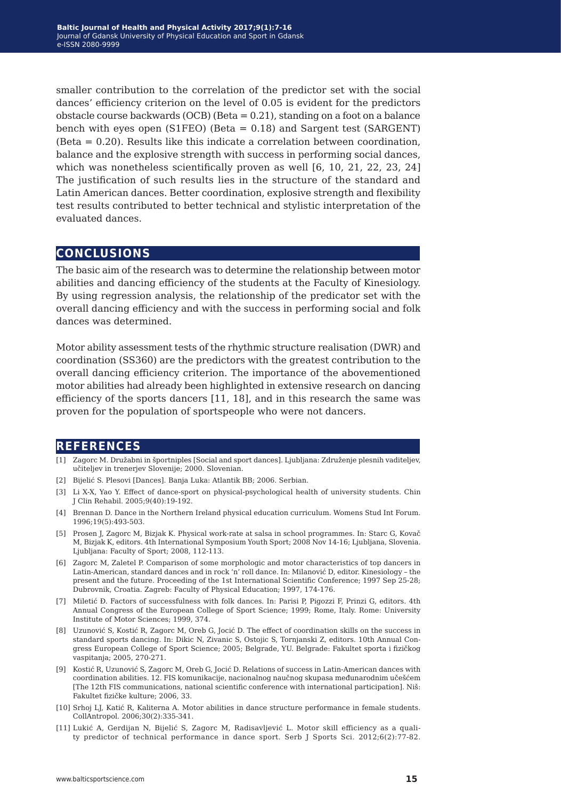smaller contribution to the correlation of the predictor set with the social dances' efficiency criterion on the level of 0.05 is evident for the predictors obstacle course backwards (OCB) (Beta = 0.21), standing on a foot on a balance bench with eyes open (S1FEO) (Beta = 0.18) and Sargent test (SARGENT) (Beta = 0.20). Results like this indicate a correlation between coordination, balance and the explosive strength with success in performing social dances, which was nonetheless scientifically proven as well [6, 10, 21, 22, 23, 24] The justification of such results lies in the structure of the standard and Latin American dances. Better coordination, explosive strength and flexibility test results contributed to better technical and stylistic interpretation of the evaluated dances.

#### **conclusions**

The basic aim of the research was to determine the relationship between motor abilities and dancing efficiency of the students at the Faculty of Kinesiology. By using regression analysis, the relationship of the predicator set with the overall dancing efficiency and with the success in performing social and folk dances was determined.

Motor ability assessment tests of the rhythmic structure realisation (DWR) and coordination (SS360) are the predictors with the greatest contribution to the overall dancing efficiency criterion. The importance of the abovementioned motor abilities had already been highlighted in extensive research on dancing efficiency of the sports dancers [11, 18], and in this research the same was proven for the population of sportspeople who were not dancers.

#### **references**

- [1] Zagorc M. Družabni in športniples [Social and sport dances]. Ljubljana: Združenje plesnih vaditeljev, učiteljev in trenerjev Slovenije; 2000. Slovenian.
- [2] Bijelić S. Plesovi [Dances]. Banja Luka: Atlantik BB; 2006. Serbian.
- [3] Li X-X, Yao Y. Effect of dance-sport on physical-psychological health of university students. Chin J Clin Rehabil. 2005;9(40):19-192.
- [4] Brennan D. Dance in the Northern Ireland physical education curriculum. Womens Stud Int Forum. 1996;19(5):493-503.
- [5] Prosen J, Zagorc M, Bizjak K. Physical work-rate at salsa in school programmes. In: Starc G, Kovač M, Bizjak K, editors. 4th International Symposium Youth Sport; 2008 Nov 14-16; Ljubljana, Slovenia. Ljubljana: Faculty of Sport; 2008, 112-113.
- [6] Zagorc M, Zaletel P. Comparison of some morphologic and motor characteristics of top dancers in Latin-American, standard dances and in rock 'n' roll dance. In: Milanović D, editor. Kinesiology – the present and the future. Proceeding of the 1st International Scientific Conference; 1997 Sep 25-28; Dubrovnik, Croatia. Zagreb: Faculty of Physical Education; 1997, 174-176.
- [7] Miletić Đ. Factors of successfulness with folk dances. In: Parisi P, Pigozzi F, Prinzi G, editors. 4th Annual Congress of the European College of Sport Science; 1999; Rome, Italy. Rome: University Institute of Motor Sciences; 1999, 374.
- [8] Uzunović S, Kostić R, Zagorc M, Oreb G, Jocić D. The effect of coordination skills on the success in standard sports dancing. In: Dikic N, Zivanic S, Ostojic S, Tornjanski Z, editors. 10th Annual Congress European College of Sport Science; 2005; Belgrade, YU. Belgrade: Fakultet sporta i fizičkog vaspitanja; 2005, 270-271.
- [9] Kostić R, Uzunović S, Zagorc M, Oreb G, Jocić D. Relations of success in Latin-American dances with coordination abilities. 12. FIS komunikacije, nacionalnog naučnog skupasa međunarodnim učešćem [The 12th FIS communications, national scientific conference with international participation]. Niš: Fakultet fizičke kulture; 2006, 33.
- [10] Srhoj LJ, Katić R, Kaliterna A. Motor abilities in dance structure performance in female students. CollAntropol. 2006;30(2):335-341.
- [11] Lukić A, Gerdijan N, Bijelić S, Zagorc M, Radisavljević L. Motor skill efficiency as a quality predictor of technical performance in dance sport. Serb J Sports Sci. 2012;6(2):77-82.